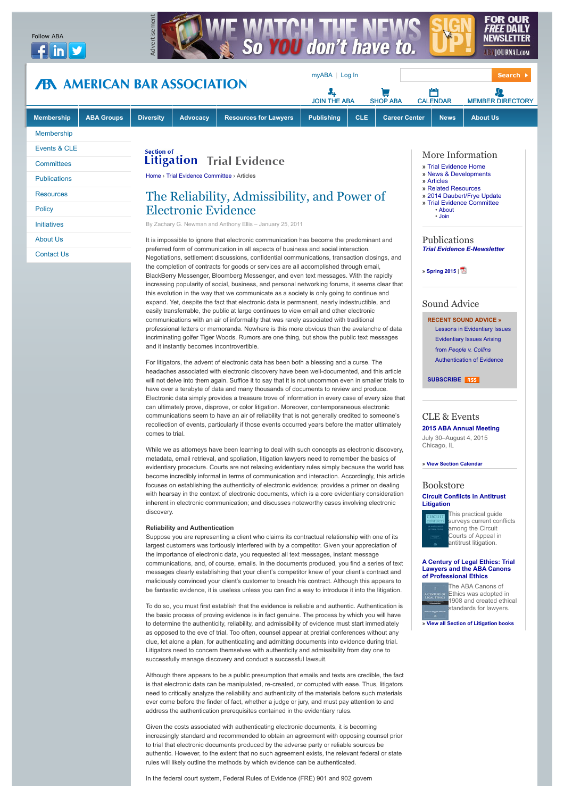

easily transferrable, the public at large continues to view email and other electronic communications with an air of informality that was rarely associated with traditional professional letters or memoranda. Nowhere is this more obvious than the avalanche of data incriminating golfer Tiger Woods. Rumors are one thing, but show the public text messages and it instantly becomes incontrovertible.

For litigators, the advent of electronic data has been both a blessing and a curse. The headaches associated with electronic discovery have been well-documented, and this article will not delve into them again. Suffice it to say that it is not uncommon even in smaller trials to have over a terabyte of data and many thousands of documents to review and produce. Electronic data simply provides a treasure trove of information in every case of every size that can ultimately prove, disprove, or color litigation. Moreover, contemporaneous electronic communications seem to have an air of reliability that is not generally credited to someone's recollection of events, particularly if those events occurred years before the matter ultimately comes to trial.

While we as attorneys have been learning to deal with such concepts as electronic discovery, metadata, email retrieval, and spoliation, litigation lawyers need to remember the basics of evidentiary procedure. Courts are not relaxing evidentiary rules simply because the world has become incredibly informal in terms of communication and interaction. Accordingly, this article focuses on establishing the authenticity of electronic evidence; provides a primer on dealing with hearsay in the context of electronic documents, which is a core evidentiary consideration inherent in electronic communication; and discusses noteworthy cases involving electronic discovery.

#### **Reliability and Authentication**

Suppose you are representing a client who claims its contractual relationship with one of its largest customers was tortiously interfered with by a competitor. Given your appreciation of the importance of electronic data, you requested all text messages, instant message communications, and, of course, emails. In the documents produced, you find a series of text messages clearly establishing that your client's competitor knew of your client's contract and maliciously convinced your client's customer to breach his contract. Although this appears to be fantastic evidence, it is useless unless you can find a way to introduce it into the litigation.

To do so, you must first establish that the evidence is reliable and authentic. Authentication is the basic process of proving evidence is in fact genuine. The process by which you will have to determine the authenticity, reliability, and admissibility of evidence must start immediately as opposed to the eve of trial. Too often, counsel appear at pretrial conferences without any clue, let alone a plan, for authenticating and admitting documents into evidence during trial. Litigators need to concern themselves with authenticity and admissibility from day one to successfully manage discovery and conduct a successful lawsuit.

Although there appears to be a public presumption that emails and texts are credible, the fact is that electronic data can be manipulated, re-created, or corrupted with ease. Thus, litigators need to critically analyze the reliability and authenticity of the materials before such materials ever come before the finder of fact, whether a judge or jury, and must pay attention to and address the authentication prerequisites contained in the evidentiary rules.

Given the costs associated with authenticating electronic documents, it is becoming increasingly standard and recommended to obtain an agreement with opposing counsel prior to trial that electronic documents produced by the adverse party or reliable sources be authentic. However, to the extent that no such agreement exists, the relevant federal or state rules will likely outline the methods by which evidence can be authenticated.

In the federal court system, Federal Rules of Evidence (FRE) 901 and 902 govern

**» [View Section Calendar](http://www.abanet.org/litigation/programs/programs_future.html)**

CLE & Events **[2015 ABA Annual Meeting](http://www.americanbar.org/calendar/annual.html)** July 30–August 4, 2015

**SUBSCRIBE RSS** 

# **Bookstore**

Chicago, IL

**[Circuit Conflicts in Antitrust](http://www.abanet.org/abastore/index.cfm?section=main&fm=Product.AddToCart&pid=5310387) Litigation**

**[RECENT SOUND ADVICE »](http://www.americanbar.org/groups/litigation/resources/sound_advice.html)** [Lessons in Evidentiary Issues](http://www.americanbar.org/content/dam/aba/multimedia/migrated/litigation/soundadvice/mp3/010313_j_anderson_hersey_evidence_final.mp3) [Evidentiary Issues Arising](http://www.americanbar.org/content/dam/aba/multimedia/migrated/litigation/soundadvice/mp3/051313_s_landsman_evidence_final.authcheckdam.mp3) from *People v. Collins* [Authentication of Evidence](http://www.americanbar.org/content/dam/aba/multimedia/migrated/litigation/soundadvice/mp3/121812-landsman-evidence-final.mp3)



his practical guide surveys current conflicts mong the Circuit Courts of Appeal in antitrust litigation.

#### **[A Century of Legal Ethics: Trial](http://www.abanet.org/abastore/index.cfm?section=main&fm=Product.AddToCart&pid=5310388) Lawyers and the ABA Canons of Professional Ethics**

The ABA Canons of Ethics was adopted in 1908 and created ethical standards for lawyers.

**» [View all Section of Litigation books](http://apps.americanbar.org/abastore/index.cfm?section=main&fid=2&num=10&cid=&isbn=&fm=Product.Search&layout=&enddate=&a=&eid=LT&startdate=&beginyearrange=0&type=a&t=&pc=&endyearrange=0&k=&h=&sort=d)**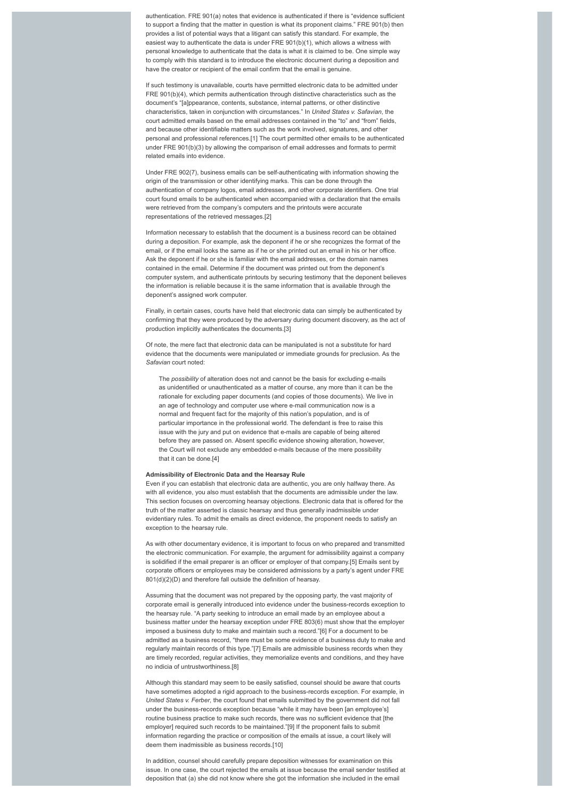authentication. FRE 901(a) notes that evidence is authenticated if there is "evidence sufficient to support a finding that the matter in question is what its proponent claims." FRE 901(b) then provides a list of potential ways that a litigant can satisfy this standard. For example, the easiest way to authenticate the data is under FRE 901(b)(1), which allows a witness with personal knowledge to authenticate that the data is what it is claimed to be. One simple way to comply with this standard is to introduce the electronic document during a deposition and have the creator or recipient of the email confirm that the email is genuine.

If such testimony is unavailable, courts have permitted electronic data to be admitted under FRE 901(b)(4), which permits authentication through distinctive characteristics such as the document's "[a]ppearance, contents, substance, internal patterns, or other distinctive characteristics, taken in conjunction with circumstances." In *United States v. Safavian*, the court admitted emails based on the email addresses contained in the "to" and "from" fields, and because other identifiable matters such as the work involved, signatures, and other personal and professional references.[1] The court permitted other emails to be authenticated under FRE 901(b)(3) by allowing the comparison of email addresses and formats to permit related emails into evidence.

Under FRE 902(7), business emails can be self-authenticating with information showing the origin of the transmission or other identifying marks. This can be done through the authentication of company logos, email addresses, and other corporate identifiers. One trial court found emails to be authenticated when accompanied with a declaration that the emails were retrieved from the company's computers and the printouts were accurate representations of the retrieved messages.[2]

Information necessary to establish that the document is a business record can be obtained during a deposition. For example, ask the deponent if he or she recognizes the format of the email, or if the email looks the same as if he or she printed out an email in his or her office. Ask the deponent if he or she is familiar with the email addresses, or the domain names contained in the email. Determine if the document was printed out from the deponent's computer system, and authenticate printouts by securing testimony that the deponent believes the information is reliable because it is the same information that is available through the deponent's assigned work computer.

Finally, in certain cases, courts have held that electronic data can simply be authenticated by confirming that they were produced by the adversary during document discovery, as the act of production implicitly authenticates the documents.[3]

Of note, the mere fact that electronic data can be manipulated is not a substitute for hard evidence that the documents were manipulated or immediate grounds for preclusion. As the *Safavian* court noted:

The *possibility* of alteration does not and cannot be the basis for excluding e-mails as unidentified or unauthenticated as a matter of course, any more than it can be the rationale for excluding paper documents (and copies of those documents). We live in an age of technology and computer use where e-mail communication now is a normal and frequent fact for the majority of this nation's population, and is of particular importance in the professional world. The defendant is free to raise this issue with the jury and put on evidence that e-mails are capable of being altered before they are passed on. Absent specific evidence showing alteration, however, the Court will not exclude any embedded e-mails because of the mere possibility that it can be done [4]

### **Admissibility of Electronic Data and the Hearsay Rule**

Even if you can establish that electronic data are authentic, you are only halfway there. As with all evidence, you also must establish that the documents are admissible under the law. This section focuses on overcoming hearsay objections. Electronic data that is offered for the truth of the matter asserted is classic hearsay and thus generally inadmissible under evidentiary rules. To admit the emails as direct evidence, the proponent needs to satisfy an exception to the hearsay rule.

As with other documentary evidence, it is important to focus on who prepared and transmitted the electronic communication. For example, the argument for admissibility against a company is solidified if the email preparer is an officer or employer of that company.[5] Emails sent by corporate officers or employees may be considered admissions by a party's agent under FRE 801(d)(2)(D) and therefore fall outside the definition of hearsay

Assuming that the document was not prepared by the opposing party, the vast majority of corporate email is generally introduced into evidence under the business-records exception to the hearsay rule. "A party seeking to introduce an email made by an employee about a business matter under the hearsay exception under FRE 803(6) must show that the employer imposed a business duty to make and maintain such a record."[6] For a document to be admitted as a business record, "there must be some evidence of a business duty to make and regularly maintain records of this type."[7] Emails are admissible business records when they are timely recorded, regular activities, they memorialize events and conditions, and they have no indicia of untrustworthiness.[8]

Although this standard may seem to be easily satisfied, counsel should be aware that courts have sometimes adopted a rigid approach to the business-records exception. For example, in *United States v. Ferber*, the court found that emails submitted by the government did not fall under the business-records exception because "while it may have been [an employee's] routine business practice to make such records, there was no sufficient evidence that [the employer] required such records to be maintained."[9] If the proponent fails to submit information regarding the practice or composition of the emails at issue, a court likely will deem them inadmissible as business records [10]

In addition, counsel should carefully prepare deposition witnesses for examination on this issue. In one case, the court rejected the emails at issue because the email sender testified at deposition that (a) she did not know where she got the information she included in the email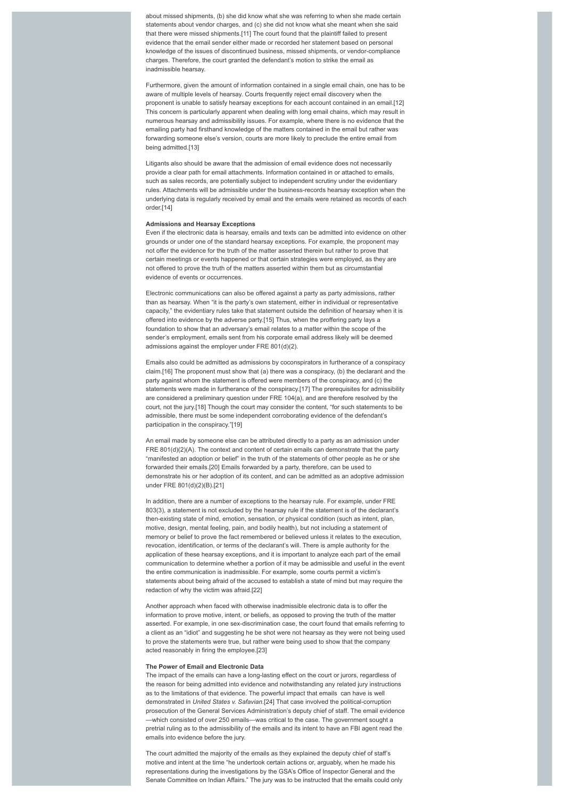about missed shipments, (b) she did know what she was referring to when she made certain statements about vendor charges, and (c) she did not know what she meant when she said that there were missed shipments.[11] The court found that the plaintiff failed to present evidence that the email sender either made or recorded her statement based on personal knowledge of the issues of discontinued business, missed shipments, or vendor-compliance charges. Therefore, the court granted the defendant's motion to strike the email as inadmissible hearsay.

Furthermore, given the amount of information contained in a single email chain, one has to be aware of multiple levels of hearsay. Courts frequently reject email discovery when the proponent is unable to satisfy hearsay exceptions for each account contained in an email.[12] This concern is particularly apparent when dealing with long email chains, which may result in numerous hearsay and admissibility issues. For example, where there is no evidence that the emailing party had firsthand knowledge of the matters contained in the email but rather was forwarding someone else's version, courts are more likely to preclude the entire email from being admitted.[13]

Litigants also should be aware that the admission of email evidence does not necessarily provide a clear path for email attachments. Information contained in or attached to emails, such as sales records, are potentially subject to independent scrutiny under the evidentiary rules. Attachments will be admissible under the business-records hearsay exception when the underlying data is regularly received by email and the emails were retained as records of each order.[14]

## **Admissions and Hearsay Exceptions**

Even if the electronic data is hearsay, emails and texts can be admitted into evidence on other grounds or under one of the standard hearsay exceptions. For example, the proponent may not offer the evidence for the truth of the matter asserted therein but rather to prove that certain meetings or events happened or that certain strategies were employed, as they are not offered to prove the truth of the matters asserted within them but as circumstantial evidence of events or occurrences.

Electronic communications can also be offered against a party as party admissions, rather than as hearsay. When "it is the party's own statement, either in individual or representative capacity," the evidentiary rules take that statement outside the definition of hearsay when it is offered into evidence by the adverse party.[15] Thus, when the proffering party lays a foundation to show that an adversary's email relates to a matter within the scope of the sender's employment, emails sent from his corporate email address likely will be deemed admissions against the employer under FRE 801(d)(2).

Emails also could be admitted as admissions by coconspirators in furtherance of a conspiracy claim.[16] The proponent must show that (a) there was a conspiracy, (b) the declarant and the party against whom the statement is offered were members of the conspiracy, and (c) the statements were made in furtherance of the conspiracy.[17] The prerequisites for admissibility are considered a preliminary question under FRE 104(a), and are therefore resolved by the court, not the jury.[18] Though the court may consider the content, "for such statements to be admissible, there must be some independent corroborating evidence of the defendant's participation in the conspiracy."[19]

An email made by someone else can be attributed directly to a party as an admission under FRE 801(d)(2)(A). The context and content of certain emails can demonstrate that the party "manifested an adoption or belief" in the truth of the statements of other people as he or she forwarded their emails.[20] Emails forwarded by a party, therefore, can be used to demonstrate his or her adoption of its content, and can be admitted as an adoptive admission under FRE 801(d)(2)(B).[21]

In addition, there are a number of exceptions to the hearsay rule. For example, under FRE 803(3), a statement is not excluded by the hearsay rule if the statement is of the declarant's then-existing state of mind, emotion, sensation, or physical condition (such as intent, plan, motive, design, mental feeling, pain, and bodily health), but not including a statement of memory or belief to prove the fact remembered or believed unless it relates to the execution, revocation, identification, or terms of the declarant's will. There is ample authority for the application of these hearsay exceptions, and it is important to analyze each part of the email communication to determine whether a portion of it may be admissible and useful in the event the entire communication is inadmissible. For example, some courts permit a victim's statements about being afraid of the accused to establish a state of mind but may require the redaction of why the victim was afraid.[22]

Another approach when faced with otherwise inadmissible electronic data is to offer the information to prove motive, intent, or beliefs, as opposed to proving the truth of the matter asserted. For example, in one sex-discrimination case, the court found that emails referring to a client as an "idiot" and suggesting he be shot were not hearsay as they were not being used to prove the statements were true, but rather were being used to show that the company acted reasonably in firing the employee.[23]

## **The Power of Email and Electronic Data**

The impact of the emails can have a long-lasting effect on the court or jurors, regardless of the reason for being admitted into evidence and notwithstanding any related jury instructions as to the limitations of that evidence. The powerful impact that emails can have is well demonstrated in *United States v. Safavian*.[24] That case involved the political-corruption prosecution of the General Services Administration's deputy chief of staff. The email evidence —which consisted of over 250 emails—was critical to the case. The government sought a pretrial ruling as to the admissibility of the emails and its intent to have an FBI agent read the emails into evidence before the jury.

The court admitted the majority of the emails as they explained the deputy chief of staff's motive and intent at the time "he undertook certain actions or, arguably, when he made his representations during the investigations by the GSA's Office of Inspector General and the Senate Committee on Indian Affairs." The jury was to be instructed that the emails could only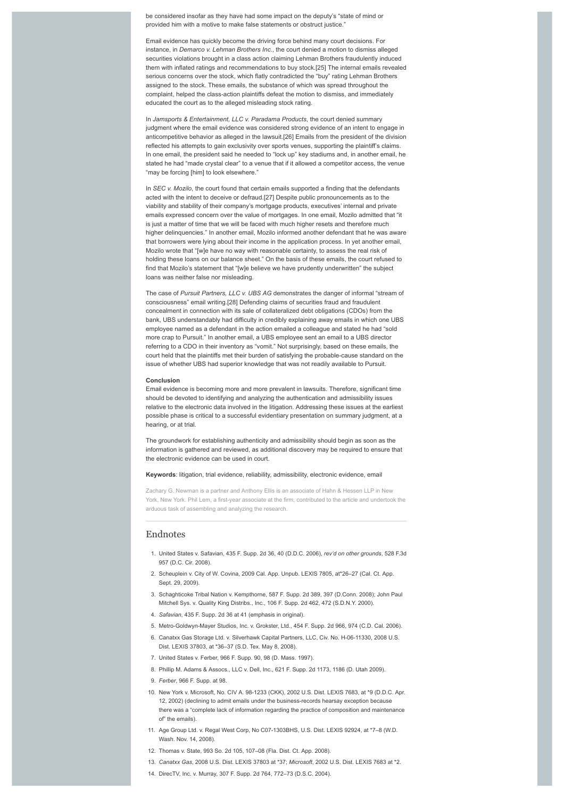be considered insofar as they have had some impact on the deputy's "state of mind or provided him with a motive to make false statements or obstruct justice."

Email evidence has quickly become the driving force behind many court decisions. For instance, in *Demarco v. Lehman Brothers Inc*., the court denied a motion to dismiss alleged securities violations brought in a class action claiming Lehman Brothers fraudulently induced them with inflated ratings and recommendations to buy stock.[25] The internal emails revealed serious concerns over the stock, which flatly contradicted the "buy" rating Lehman Brothers assigned to the stock. These emails, the substance of which was spread throughout the complaint, helped the class-action plaintiffs defeat the motion to dismiss, and immediately educated the court as to the alleged misleading stock rating.

In *Jamsports & Entertainment, LLC v. Paradama Products*, the court denied summary judgment where the email evidence was considered strong evidence of an intent to engage in anticompetitive behavior as alleged in the lawsuit.[26] Emails from the president of the division reflected his attempts to gain exclusivity over sports venues, supporting the plaintiff's claims. In one email, the president said he needed to "lock up" key stadiums and, in another email, he stated he had "made crystal clear" to a venue that if it allowed a competitor access, the venue "may be forcing [him] to look elsewhere."

In *SEC v. Mozilo*, the court found that certain emails supported a finding that the defendants acted with the intent to deceive or defraud.[27] Despite public pronouncements as to the viability and stability of their company's mortgage products, executives' internal and private emails expressed concern over the value of mortgages. In one email, Mozilo admitted that "it is just a matter of time that we will be faced with much higher resets and therefore much higher delinquencies." In another email, Mozilo informed another defendant that he was aware that borrowers were lying about their income in the application process. In yet another email, Mozilo wrote that "[w]e have no way with reasonable certainty, to assess the real risk of holding these loans on our balance sheet." On the basis of these emails, the court refused to find that Mozilo's statement that "[w]e believe we have prudently underwritten" the subject loans was neither false nor misleading.

The case of *Pursuit Partners, LLC v. UBS AG* demonstrates the danger of informal "stream of consciousness" email writing.[28] Defending claims of securities fraud and fraudulent concealment in connection with its sale of collateralized debt obligations (CDOs) from the bank, UBS understandably had difficulty in credibly explaining away emails in which one UBS employee named as a defendant in the action emailed a colleague and stated he had "sold more crap to Pursuit." In another email, a UBS employee sent an email to a UBS director referring to a CDO in their inventory as "vomit." Not surprisingly, based on these emails, the court held that the plaintiffs met their burden of satisfying the probable-cause standard on the issue of whether UBS had superior knowledge that was not readily available to Pursuit.

#### **Conclusion**

Email evidence is becoming more and more prevalent in lawsuits. Therefore, significant time should be devoted to identifying and analyzing the authentication and admissibility issues relative to the electronic data involved in the litigation. Addressing these issues at the earliest possible phase is critical to a successful evidentiary presentation on summary judgment, at a hearing, or at trial.

The groundwork for establishing authenticity and admissibility should begin as soon as the information is gathered and reviewed, as additional discovery may be required to ensure that the electronic evidence can be used in court.

## **Keywords**: litigation, trial evidence, reliability, admissibility, electronic evidence, email

Zachary G. Newman is a partner and Anthony Ellis is an associate of Hahn & Hessen LLP in New York, New York. Phil Lem, a first-year associate at the firm, contributed to the article and undertook the arduous task of assembling and analyzing the research.

# Endnotes

- 1. United States v. Safavian, 435 F. Supp. 2d 36, 40 (D.D.C. 2006), *rev'd on other grounds*, 528 F.3d 957 (D.C. Cir. 2008).
- 2. Scheuplein v. City of W. Covina, 2009 Cal. App. Unpub. LEXIS 7805, at\*26–27 (Cal. Ct. App. Sept. 29, 2009).
- 3. Schaghticoke Tribal Nation v. Kempthorne, 587 F. Supp. 2d 389, 397 (D.Conn. 2008); John Paul Mitchell Sys. v. Quality King Distribs., Inc., 106 F. Supp. 2d 462, 472 (S.D.N.Y. 2000).
- 4. *Safavian*, 435 F. Supp. 2d 36 at 41 (emphasis in original).
- 5. Metro-Goldwyn-Mayer Studios, Inc. v. Grokster, Ltd*.*, 454 F. Supp. 2d 966, 974 (C.D. Cal. 2006).
- 6. Canatxx Gas Storage Ltd. v. Silverhawk Capital Partners, LLC, Civ. No. H-06-11330, 2008 U.S. Dist. LEXIS 37803, at \*36–37 (S.D. Tex. May 8, 2008).
- 7. United States v. Ferber, 966 F. Supp. 90, 98 (D. Mass. 1997).
- 8. Phillip M. Adams & Assocs., LLC v. Dell, Inc., 621 F. Supp. 2d 1173, 1186 (D. Utah 2009).
- 9. *Ferber*, 966 F. Supp. at 98.
- 10. New York v. Microsoft, No. CIV A. 98-1233 (CKK), 2002 U.S. Dist. LEXIS 7683, at \*9 (D.D.C. Apr. 12, 2002) (declining to admit emails under the business-records hearsay exception because there was a "complete lack of information regarding the practice of composition and maintenance of" the emails).
- 11. Age Group Ltd. v. Regal West Corp, No C07-1303BHS, U.S. Dist. LEXIS 92924, at \*7–8 (W.D. Wash. Nov. 14, 2008).
- 12. Thomas v. State, 993 So. 2d 105, 107–08 (Fla. Dist. Ct. App. 2008).
- 13. *Canatxx Gas*, 2008 U.S. Dist. LEXIS 37803 at \*37; *Microsoft*, 2002 U.S. Dist. LEXIS 7683 at \*2.
- 14. DirecTV, Inc. v. Murray, 307 F. Supp. 2d 764, 772–73 (D.S.C. 2004).